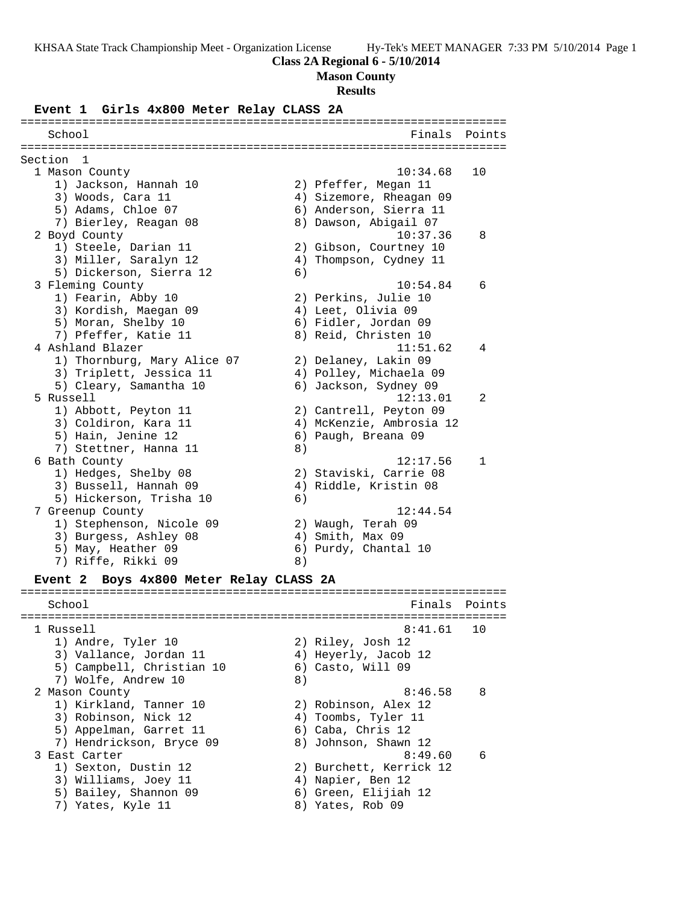#### **Class 2A Regional 6 - 5/10/2014**

#### **Mason County**

#### **Results**

#### **Event 1 Girls 4x800 Meter Relay CLASS 2A**

======================================================================= School **Finals Points** ======================================================================= Section 1 1 Mason County 10:34.68 10 1) Jackson, Hannah 10 2) Pfeffer, Megan 11 3) Woods, Cara 11 4) Sizemore, Rheagan 09 5) Adams, Chloe 07 (6) Anderson, Sierra 11 7) Bierley, Reagan 08 8) Dawson, Abigail 07 2 Boyd County 10:37.36 8 1) Steele, Darian 11 2) Gibson, Courtney 10 3) Miller, Saralyn 12 4) Thompson, Cydney 11 5) Dickerson, Sierra 12 (6) 3 Fleming County 10:54.84 6 1) Fearin, Abby 10 2) Perkins, Julie 10 3) Kordish, Maegan 09 (4) Leet, Olivia 09 5) Moran, Shelby 10 6) Fidler, Jordan 09 7) Pfeffer, Katie 11 and 8) Reid, Christen 10 4 Ashland Blazer 11:51.62 4 1) Thornburg, Mary Alice 07 2) Delaney, Lakin 09 3) Triplett, Jessica 11 4) Polley, Michaela 09 5) Cleary, Samantha 10 6) Jackson, Sydney 09 5 Russell 12:13.01 2 1) Abbott, Peyton 11 2) Cantrell, Peyton 09 3) Coldiron, Kara 11 4) McKenzie, Ambrosia 12 5) Hain, Jenine 12 6) Paugh, Breana 09 7) Stettner, Hanna 11 (8) 6 Bath County 12:17.56 1 1) Hedges, Shelby 08 2) Staviski, Carrie 08 3) Bussell, Hannah 09 4) Riddle, Kristin 08 5) Hickerson, Trisha 10 (6) 7 Greenup County 12:44.54 1) Stephenson, Nicole 09 2) Waugh, Terah 09 3) Burgess, Ashley 08 (4) Smith, Max 09 5) May, Heather 09 6) Purdy, Chantal 10 7) Riffe, Rikki 09 8)

#### **Event 2 Boys 4x800 Meter Relay CLASS 2A**

School **Finals Points** ======================================================================= 1 Russell 8:41.61 10 1) Andre, Tyler 10 2) Riley, Josh 12 3) Vallance, Jordan 11  $\hskip1cm \hskip 4.1cm 4$ ) Heyerly, Jacob 12 5) Campbell, Christian 10 6) Casto, Will 09 7) Wolfe, Andrew 10 8) 2 Mason County 2 Mason County 2 Mason County 1) Kirkland, Tanner 10 2) Robinson, Alex 12 3) Robinson, Nick 12 (4) Toombs, Tyler 11 5) Appelman, Garret 11 (6) Caba, Chris 12 7) Hendrickson, Bryce 09 8) Johnson, Shawn 12 3 East Carter 8:49.60 6 1) Sexton, Dustin 12 2) Burchett, Kerrick 12 3) Williams, Joey 11 (4) Napier, Ben 12 5) Bailey, Shannon 09 6) Green, Elijiah 12 7) Yates, Kyle 11 and 8) Yates, Rob 09

=======================================================================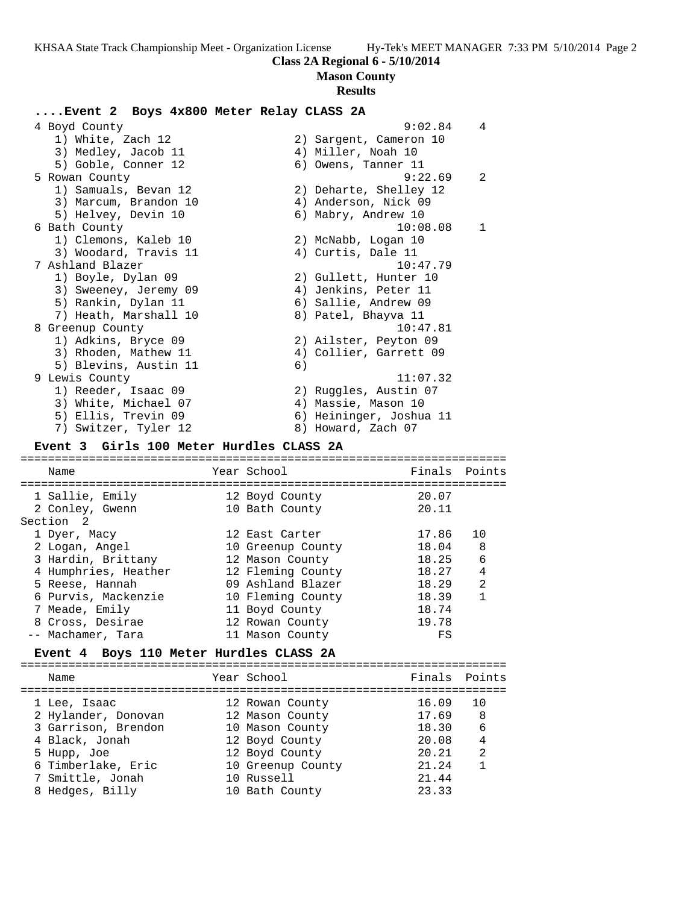**Mason County**

#### **Results**

## **....Event 2 Boys 4x800 Meter Relay CLASS 2A**

 4 Boyd County 9:02.84 4 1) White, Zach 12 2) Sargent, Cameron 10 3) Medley, Jacob 11 (4) Miller, Noah 10 5) Goble, Conner 12 (6) Owens, Tanner 11 5 Rowan County 9:22.69 2 1) Samuals, Bevan 12 2) Deharte, Shelley 12 3) Marcum, Brandon 10 (4) Anderson, Nick 09 5) Helvey, Devin 10 (6) Mabry, Andrew 10 6 Bath County 10:08.08 1 1) Clemons, Kaleb 10 2) McNabb, Logan 10 3) Woodard, Travis 11 (4) Curtis, Dale 11 7 Ashland Blazer 10:47.79 1) Boyle, Dylan 09 2) Gullett, Hunter 10 3) Sweeney, Jeremy 09 (4) Jenkins, Peter 11 5) Rankin, Dylan 11 (6) Sallie, Andrew 09 7) Heath, Marshall 10  $\hphantom{\text{2.65}$  8) Patel, Bhayva 11 8 Greenup County 2018 and 2018 10:47.81 1) Adkins, Bryce 09 2) Ailster, Peyton 09 3) Rhoden, Mathew 11 4) Collier, Garrett 09 5) Blevins, Austin 11 (6) 9 Lewis County 11:07.32 1) Reeder, Isaac 09 2) Ruggles, Austin 07 3) White, Michael 07 (4) Massie, Mason 10 5) Ellis, Trevin 09 6) Heininger, Joshua 11 7) Switzer, Tyler 12 and 8) Howard, Zach 07 **Event 3 Girls 100 Meter Hurdles CLASS 2A** =======================================================================

## Name The Year School The Finals Points ======================================================================= 1 Sallie, Emily 12 Boyd County 20.07 2 Conley, Gwenn 10 Bath County 20.11 Section 2 1 Dyer, Macy 12 East Carter 17.86 10 2 Logan, Angel 10 Greenup County 18.04 8 3 Hardin, Brittany 12 Mason County 18.25 6 4 Humphries, Heather 12 Fleming County 18.27 4 5 Reese, Hannah 09 Ashland Blazer 18.29 2 6 Purvis, Mackenzie 10 Fleming County 18.39 1 7 Meade, Emily 11 Boyd County 18.74 8 Cross, Desirae 12 Rowan County 19.78 -- Machamer, Tara 11 Mason County FS

### **Event 4 Boys 110 Meter Hurdles CLASS 2A**

| Name                | Year School       | Finals Points |    |
|---------------------|-------------------|---------------|----|
| 1 Lee, Isaac        | 12 Rowan County   | 16.09         | 10 |
| 2 Hylander, Donovan | 12 Mason County   | 17.69         | -8 |
| 3 Garrison, Brendon | 10 Mason County   | 18.30         | 6  |
| 4 Black, Jonah      | 12 Boyd County    | 20.08         | 4  |
| 5 Hupp, Joe         | 12 Boyd County    | 20.21         | 2  |
| 6 Timberlake, Eric  | 10 Greenup County | 21.24         |    |
| 7 Smittle, Jonah    | 10 Russell        | 21.44         |    |
| 8 Hedges, Billy     | 10 Bath County    | 23.33         |    |
|                     |                   |               |    |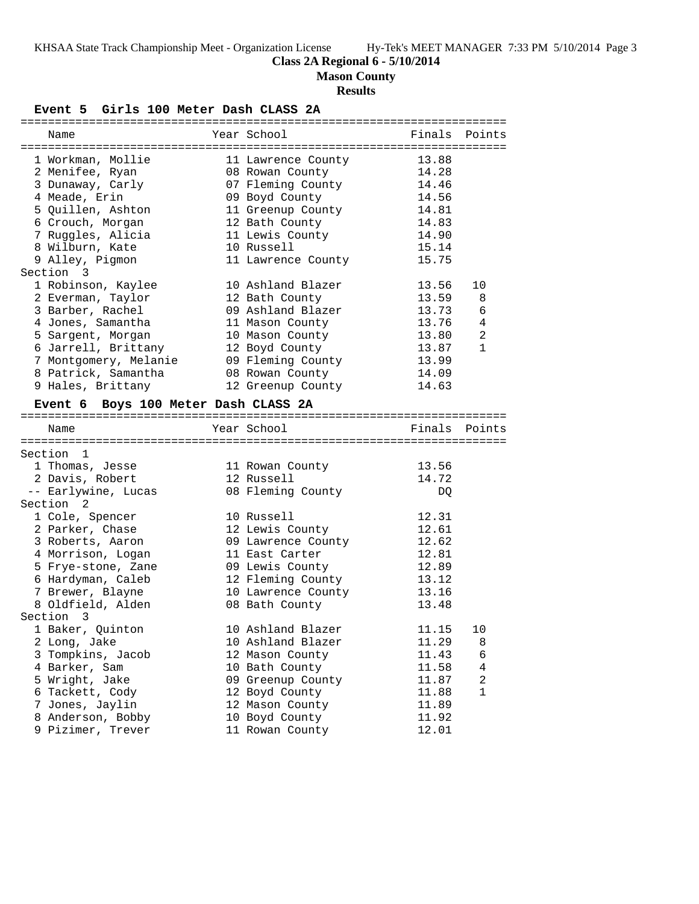# **Class 2A Regional 6 - 5/10/2014**

**Mason County**

# **Results**

**Event 5 Girls 100 Meter Dash CLASS 2A**

| Name                                 | Year School        | Finals | Points         |
|--------------------------------------|--------------------|--------|----------------|
| 1 Workman, Mollie                    | 11 Lawrence County | 13.88  |                |
| 2 Menifee, Ryan                      | 08 Rowan County    | 14.28  |                |
| 3 Dunaway, Carly                     | 07 Fleming County  | 14.46  |                |
| 4 Meade, Erin                        | 09 Boyd County     | 14.56  |                |
| 5 Quillen, Ashton                    | 11 Greenup County  | 14.81  |                |
| 6 Crouch, Morgan                     | 12 Bath County     | 14.83  |                |
| 7 Ruggles, Alicia                    | 11 Lewis County    | 14.90  |                |
| 8 Wilburn, Kate                      | 10 Russell         | 15.14  |                |
| 9 Alley, Pigmon                      | 11 Lawrence County | 15.75  |                |
| Section 3                            |                    |        |                |
| 1 Robinson, Kaylee                   | 10 Ashland Blazer  | 13.56  | 10             |
| 2 Everman, Taylor                    | 12 Bath County     | 13.59  | 8              |
| 3 Barber, Rachel                     | 09 Ashland Blazer  | 13.73  | 6              |
| 4 Jones, Samantha                    | 11 Mason County    | 13.76  | 4              |
| 5 Sargent, Morgan                    | 10 Mason County    | 13.80  | $\overline{a}$ |
| 6 Jarrell, Brittany                  | 12 Boyd County     | 13.87  | $\mathbf{1}$   |
| 7 Montgomery, Melanie                | 09 Fleming County  | 13.99  |                |
| 8 Patrick, Samantha                  | 08 Rowan County    | 14.09  |                |
| 9 Hales, Brittany                    | 12 Greenup County  | 14.63  |                |
|                                      |                    |        |                |
| Event 6 Boys 100 Meter Dash CLASS 2A |                    |        |                |
| Name                                 | Year School        |        | Finals Points  |
|                                      |                    |        |                |
| Section 1                            |                    |        |                |
| 1 Thomas, Jesse                      | 11 Rowan County    | 13.56  |                |
| 2 Davis, Robert                      | 12 Russell         | 14.72  |                |
| -- Earlywine, Lucas                  | 08 Fleming County  | DQ     |                |
| Section <sub>2</sub>                 |                    |        |                |
| 1 Cole, Spencer                      | 10 Russell         | 12.31  |                |
| 2 Parker, Chase                      | 12 Lewis County    | 12.61  |                |
| 3 Roberts, Aaron                     | 09 Lawrence County | 12.62  |                |
| 4 Morrison, Logan                    | 11 East Carter     | 12.81  |                |
| 5 Frye-stone, Zane                   | 09 Lewis County    | 12.89  |                |
| 6 Hardyman, Caleb                    | 12 Fleming County  | 13.12  |                |
| 7 Brewer, Blayne                     | 10 Lawrence County | 13.16  |                |
| 8 Oldfield, Alden                    | 08 Bath County     | 13.48  |                |
| Section 3                            |                    |        |                |
| 1 Baker, Quinton                     | 10 Ashland Blazer  | 11.15  | 10             |
| 2 Long, Jake                         | 10 Ashland Blazer  | 11.29  | 8              |
| 3 Tompkins, Jacob                    | 12 Mason County    | 11.43  | 6              |
| 4 Barker, Sam                        | 10 Bath County     | 11.58  | 4              |
| 5 Wright, Jake                       | 09 Greenup County  | 11.87  | $\overline{a}$ |
| 6 Tackett, Cody                      | 12 Boyd County     | 11.88  | $\mathbf{1}$   |
| 7 Jones, Jaylin                      | 12 Mason County    | 11.89  |                |
| 8 Anderson, Bobby                    | 10 Boyd County     | 11.92  |                |
| 9 Pizimer, Trever                    | 11 Rowan County    | 12.01  |                |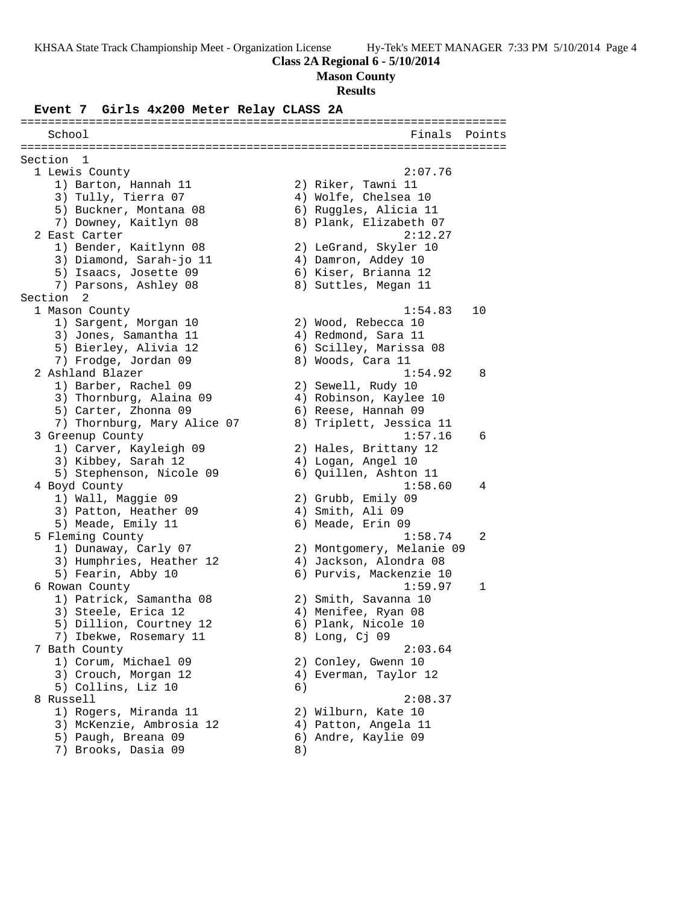#### **Class 2A Regional 6 - 5/10/2014**

**Mason County**

#### **Results**

#### **Event 7 Girls 4x200 Meter Relay CLASS 2A**

======================================================================= School Finals Points ======================================================================= Section 1<br>1 Lewis County 1 Lewis County 2:07.76 1) Barton, Hannah 11  $\qquad \qquad$  2) Riker, Tawni 11 3) Tully, Tierra 07 (4) Wolfe, Chelsea 10 5) Buckner, Montana 08 6) Ruggles, Alicia 11 7) Downey, Kaitlyn 08 8) Plank, Elizabeth 07 2 East Carter 2:12.27 1) Bender, Kaitlynn 08 2) LeGrand, Skyler 10 3) Diamond, Sarah-jo 11 (4) Damron, Addey 10 5) Isaacs, Josette 09 (6) Kiser, Brianna 12 7) Parsons, Ashley 08  $\hskip 1.5cm 8)$  Suttles, Megan 11 Section 2 1 Mason County 1:54.83 10 1) Sargent, Morgan 10 2) Wood, Rebecca 10 3) Jones, Samantha 11 (4) Redmond, Sara 11 5) Bierley, Alivia 12 6) Scilley, Marissa 08 7) Frodge, Jordan 09 8) Woods, Cara 11 2 Ashland Blazer 1:54.92 8 1) Barber, Rachel 09 2) Sewell, Rudy 10 3) Thornburg, Alaina 09 4) Robinson, Kaylee 10 5) Carter, Zhonna 09 6) Reese, Hannah 09 7) Thornburg, Mary Alice 07 8) Triplett, Jessica 11 3 Greenup County 1:57.16 6 1) Carver, Kayleigh 09 2) Hales, Brittany 12 3) Kibbey, Sarah 12 (4) Logan, Angel 10 5) Stephenson, Nicole 09 6) Quillen, Ashton 11 4 Boyd County 1:58.60 4 1) Wall, Maggie 09 2) Grubb, Emily 09 3) Patton, Heather 09 (4) Smith, Ali 09 5) Meade, Emily 11 6) Meade, Erin 09 5 Fleming County 1:58.74 2 1) Dunaway, Carly 07 2) Montgomery, Melanie 09 3) Humphries, Heather 12 4) Jackson, Alondra 08 5) Fearin, Abby 10 6) Purvis, Mackenzie 10 6 Rowan County 1:59.97 1 1) Patrick, Samantha 08 2) Smith, Savanna 10 3) Steele, Erica 12 (a) 4) Menifee, Ryan 08 5) Dillion, Courtney 12 6) Plank, Nicole 10 7) Ibekwe, Rosemary 11 and 8) Long, Cj 09 7 Bath County 2:03.64 1) Corum, Michael 09 2) Conley, Gwenn 10 3) Crouch, Morgan 12 4) Everman, Taylor 12 5) Collins, Liz 10 (6) 8 Russell 2:08.37 1) Rogers, Miranda 11 and 2) Wilburn, Kate 10 3) McKenzie, Ambrosia 12 4) Patton, Angela 11 5) Paugh, Breana 09 6) Andre, Kaylie 09 7) Brooks, Dasia 09 8)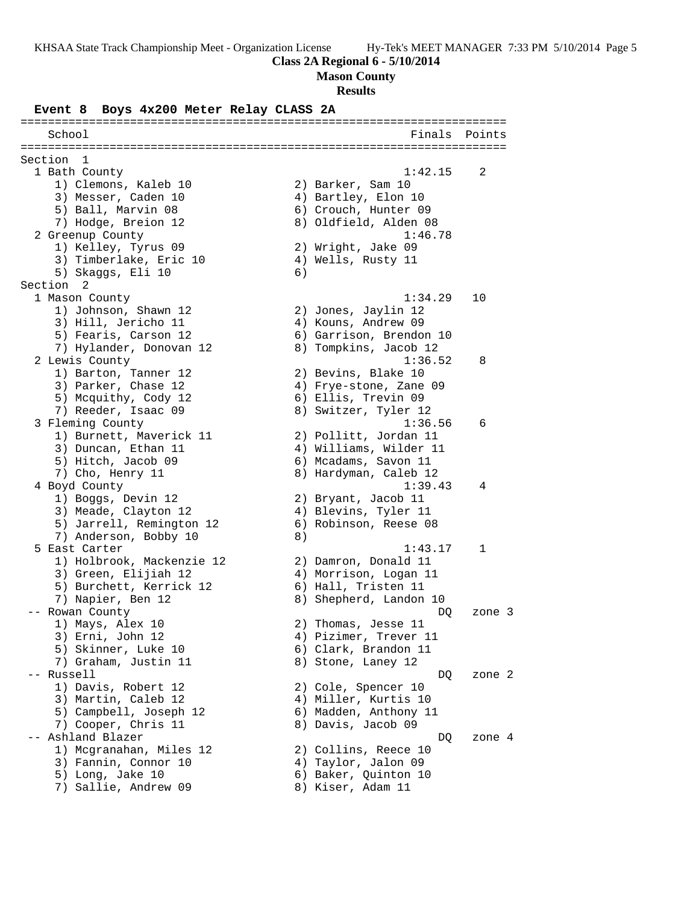# **Class 2A Regional 6 - 5/10/2014**

# **Mason County**

# **Results**

**Event 8 Boys 4x200 Meter Relay CLASS 2A**

| School                                        |    | Finals                                   | Points |
|-----------------------------------------------|----|------------------------------------------|--------|
|                                               |    |                                          |        |
| Section<br>- 1                                |    |                                          |        |
| 1 Bath County                                 |    | 1:42.15                                  | 2      |
| 1) Clemons, Kaleb 10                          |    | 2) Barker, Sam 10                        |        |
| 3) Messer, Caden 10                           |    | 4) Bartley, Elon 10                      |        |
| 5) Ball, Marvin 08                            |    | 6) Crouch, Hunter 09                     |        |
| 7) Hodge, Breion 12                           |    | 8) Oldfield, Alden 08                    |        |
| 2 Greenup County                              |    | 1:46.78                                  |        |
| 1) Kelley, Tyrus 09<br>3) Timberlake, Eric 10 |    | 2) Wright, Jake 09<br>4) Wells, Rusty 11 |        |
| 5) Skaggs, Eli 10                             | 6) |                                          |        |
| Section <sub>2</sub>                          |    |                                          |        |
| 1 Mason County                                |    | 1:34.29                                  | 10     |
| 1) Johnson, Shawn 12                          |    | 2) Jones, Jaylin 12                      |        |
| 3) Hill, Jericho 11                           |    | 4) Kouns, Andrew 09                      |        |
| 5) Fearis, Carson 12                          |    | 6) Garrison, Brendon 10                  |        |
| 7) Hylander, Donovan 12                       |    | 8) Tompkins, Jacob 12                    |        |
| 2 Lewis County                                |    | 1:36.52                                  | 8      |
| 1) Barton, Tanner 12                          |    | 2) Bevins, Blake 10                      |        |
| 3) Parker, Chase 12                           |    | 4) Frye-stone, Zane 09                   |        |
| 5) Mcquithy, Cody 12                          |    | 6) Ellis, Trevin 09                      |        |
| 7) Reeder, Isaac 09                           |    | 8) Switzer, Tyler 12                     |        |
| 3 Fleming County                              |    | 1:36.56                                  | 6      |
| 1) Burnett, Maverick 11                       |    | 2) Pollitt, Jordan 11                    |        |
| 3) Duncan, Ethan 11                           |    | 4) Williams, Wilder 11                   |        |
| 5) Hitch, Jacob 09                            |    | 6) Mcadams, Savon 11                     |        |
| 7) Cho, Henry 11                              |    | 8) Hardyman, Caleb 12                    |        |
| 4 Boyd County                                 |    | 1:39.43                                  | 4      |
| 1) Boggs, Devin 12                            |    | 2) Bryant, Jacob 11                      |        |
| 3) Meade, Clayton 12                          |    | 4) Blevins, Tyler 11                     |        |
| 5) Jarrell, Remington 12                      |    | 6) Robinson, Reese 08                    |        |
| 7) Anderson, Bobby 10                         | 8) |                                          |        |
| 5 East Carter                                 |    | 1:43.17                                  | 1      |
| 1) Holbrook, Mackenzie 12                     |    | 2) Damron, Donald 11                     |        |
| 3) Green, Elijiah 12                          |    | 4) Morrison, Logan 11                    |        |
| 5) Burchett, Kerrick 12                       |    | 6) Hall, Tristen 11                      |        |
| 7) Napier, Ben 12                             |    | 8) Shepherd, Landon 10                   |        |
| -- Rowan County                               |    | DQ                                       | zone 3 |
| 1) Mays, Alex 10                              |    | 2) Thomas, Jesse 11                      |        |
| 3) Erni, John 12                              |    | 4) Pizimer, Trever 11                    |        |
| 5) Skinner, Luke 10                           |    | 6) Clark, Brandon 11                     |        |
| 7) Graham, Justin 11                          |    | 8) Stone, Laney 12                       |        |
| -- Russell                                    |    | DQ                                       | zone 2 |
| 1) Davis, Robert 12                           |    | 2) Cole, Spencer 10                      |        |
| 3) Martin, Caleb 12                           |    | 4) Miller, Kurtis 10                     |        |
| 5) Campbell, Joseph 12                        |    | 6) Madden, Anthony 11                    |        |
| 7) Cooper, Chris 11                           |    | 8) Davis, Jacob 09                       |        |
| -- Ashland Blazer                             |    | DQ                                       | zone 4 |
| 1) Mcgranahan, Miles 12                       |    | 2) Collins, Reece 10                     |        |
| 3) Fannin, Connor 10                          |    | 4) Taylor, Jalon 09                      |        |
| 5) Long, Jake 10                              |    | 6) Baker, Quinton 10                     |        |
| 7) Sallie, Andrew 09                          |    | 8) Kiser, Adam 11                        |        |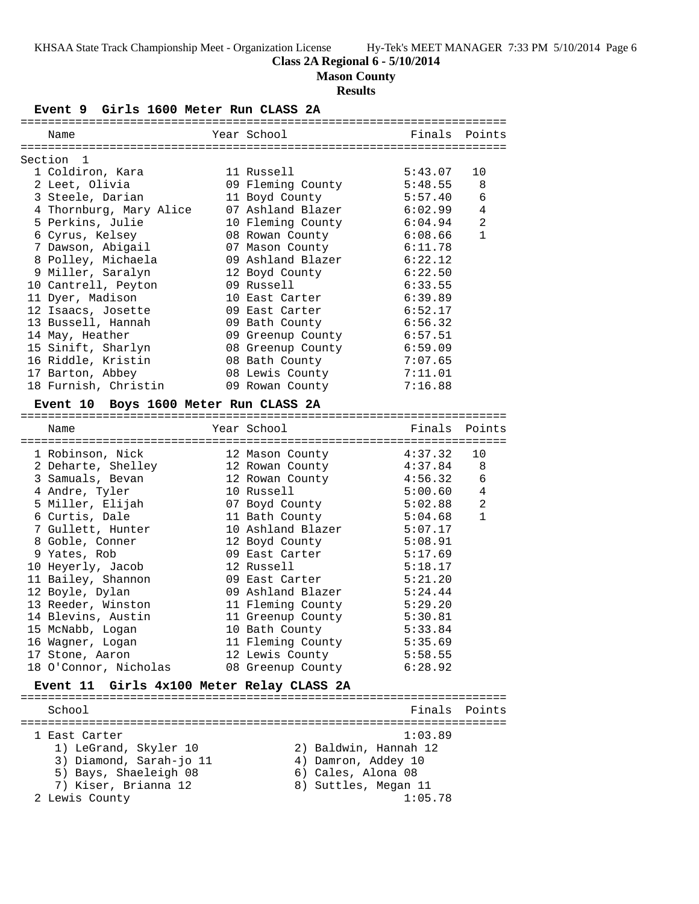# **Class 2A Regional 6 - 5/10/2014**

**Mason County**

## **Results**

**Event 9 Girls 1600 Meter Run CLASS 2A**

| Name                                              |  | Year School               | Finals Points |                |  |  |  |
|---------------------------------------------------|--|---------------------------|---------------|----------------|--|--|--|
| ---------------------------                       |  | ====================      |               |                |  |  |  |
| Section <sub>1</sub>                              |  |                           |               |                |  |  |  |
| 1 Coldiron, Kara                                  |  | 11 Russell                | 5:43.07       | 10             |  |  |  |
| 2 Leet, Olivia                                    |  | 09 Fleming County         | 5:48.55       | 8              |  |  |  |
| 3 Steele, Darian                                  |  | 11 Boyd County            | 5:57.40       | 6              |  |  |  |
| 4 Thornburg, Mary Alice 07 Ashland Blazer 6:02.99 |  |                           |               | $\overline{4}$ |  |  |  |
| 5 Perkins, Julie                                  |  | 10 Fleming County 6:04.94 |               | 2              |  |  |  |
| 6 Cyrus, Kelsey                                   |  | 08 Rowan County           | 6:08.66       | $\mathbf{1}$   |  |  |  |
| 7 Dawson, Abigail                                 |  | 07 Mason County           | 6:11.78       |                |  |  |  |
|                                                   |  |                           | 6:22.12       |                |  |  |  |
| 9 Miller, Saralyn                                 |  | 12 Boyd County            | 6:22.50       |                |  |  |  |
| 10 Cantrell, Peyton                               |  | 09 Russell                | 6:33.55       |                |  |  |  |
| 11 Dyer, Madison                                  |  | 10 East Carter            | 6:39.89       |                |  |  |  |
| 12 Isaacs, Josette                                |  | 09 East Carter            | 6:52.17       |                |  |  |  |
| 13 Bussell, Hannah                                |  | 09 Bath County            | 6:56.32       |                |  |  |  |
| 14 May, Heather                                   |  | 09 Greenup County         | 6:57.51       |                |  |  |  |
| 15 Sinift, Sharlyn                                |  | 08 Greenup County 6:59.09 |               |                |  |  |  |
| 16 Riddle, Kristin                                |  | 08 Bath County            | 7:07.65       |                |  |  |  |
| 17 Barton, Abbey                                  |  | 08 Lewis County 7:11.01   |               |                |  |  |  |
| 18 Furnish, Christin                              |  | 09 Rowan County           | 7:16.88       |                |  |  |  |
|                                                   |  |                           |               |                |  |  |  |

## **Event 10 Boys 1600 Meter Run CLASS 2A**

| Name                  | Year School in the School and the School and School | Finals Points |                |
|-----------------------|-----------------------------------------------------|---------------|----------------|
| 1 Robinson, Nick      | ===========<br>12 Mason County                      | 4:37.32       | 10             |
| 2 Deharte, Shelley    | 12 Rowan County                                     | 4:37.84       | - 8            |
| 3 Samuals, Bevan      | 12 Rowan County 4:56.32                             |               | 6              |
| 4 Andre, Tyler        | 10 Russell 5:00.60                                  |               | $\overline{4}$ |
| 5 Miller, Elijah      | 07 Boyd County                                      | 5:02.88       | 2              |
| 6 Curtis, Dale        | 11 Bath County                                      | 5:04.68       | $\mathbf{1}$   |
| 7 Gullett, Hunter     | 10 Ashland Blazer                                   | 5:07.17       |                |
| 8 Goble, Conner       | 12 Boyd County                                      | 5:08.91       |                |
| 9 Yates, Rob          | 09 East Carter                                      | 5:17.69       |                |
| 10 Heyerly, Jacob     | 12 Russell                                          | 5:18.17       |                |
| 11 Bailey, Shannon    | 09 East Carter                                      | 5:21.20       |                |
| 12 Boyle, Dylan       | 09 Ashland Blazer                                   | 5:24.44       |                |
| 13 Reeder, Winston    | 11 Fleming County 5:29.20                           |               |                |
| 14 Blevins, Austin    | 11 Greenup County 5:30.81                           |               |                |
| 15 McNabb, Logan      | 5:33.84<br>10 Bath County                           |               |                |
| 16 Waqner, Loqan      | 11 Fleming County 5:35.69                           |               |                |
| 17 Stone, Aaron       | 12 Lewis County                                     | 5:58.55       |                |
| 18 O'Connor, Nicholas | 08 Greenup County 6:28.92                           |               |                |

# **Event 11 Girls 4x100 Meter Relay CLASS 2A**

| School                  | Finals Points         |
|-------------------------|-----------------------|
| 1 East Carter           | 1:03.89               |
| 1) LeGrand, Skyler 10   | 2) Baldwin, Hannah 12 |
| 3) Diamond, Sarah-jo 11 | 4) Damron, Addey 10   |
| 5) Bays, Shaeleigh 08   | 6) Cales, Alona 08    |
| 7) Kiser, Brianna 12    | 8) Suttles, Megan 11  |
| 2 Lewis County          | 1:05.78               |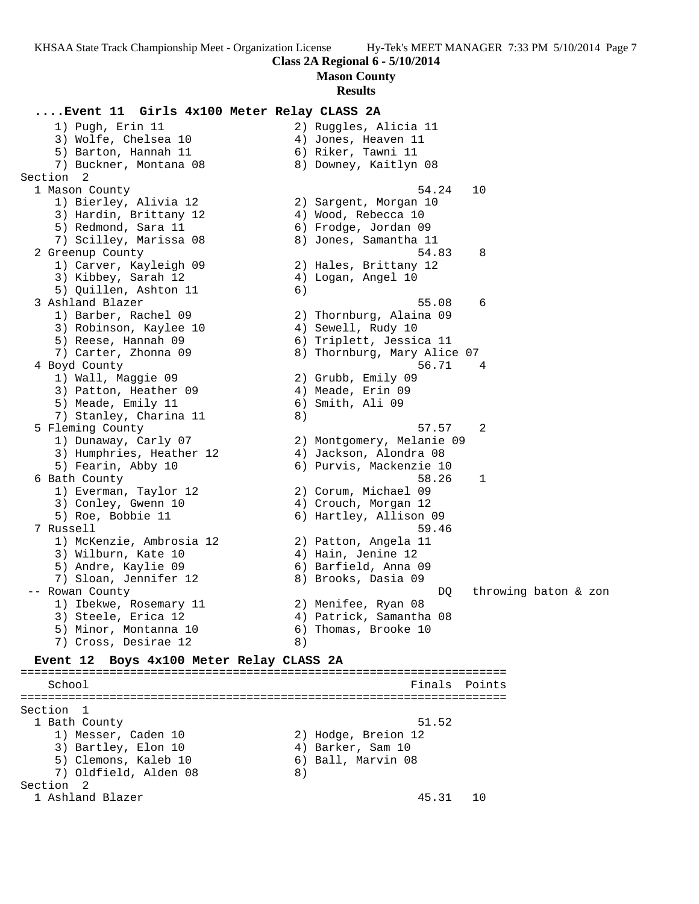**Mason County**

#### **Results**

## **....Event 11 Girls 4x100 Meter Relay CLASS 2A** 1) Pugh, Erin 11 2) Ruggles, Alicia 11 3) Wolfe, Chelsea 10 (4) Jones, Heaven 11 5) Barton, Hannah 11  $\qquad \qquad$  6) Riker, Tawni 11 7) Buckner, Montana 08 8) Downey, Kaitlyn 08 Section 2 1 Mason County 54.24 10 1) Bierley, Alivia 12 2) Sargent, Morgan 10 3) Hardin, Brittany 12 (4) Wood, Rebecca 10 5) Redmond, Sara 11 (6) frodge, Jordan 09 7) Scilley, Marissa 08 8) Jones, Samantha 11 2 Greenup County 54.83 8 1) Carver, Kayleigh 09 2) Hales, Brittany 12 3) Kibbey, Sarah 12  $\hskip1cm$  4) Logan, Angel 10 5) Quillen, Ashton 11 6) 3 Ashland Blazer 55.08 6 1) Barber, Rachel 09 2) Thornburg, Alaina 09 3) Robinson, Kaylee 10 4) Sewell, Rudy 10 5) Reese, Hannah 09 6) Triplett, Jessica 11 7) Carter, Zhonna 09 8) Thornburg, Mary Alice 07 4 Boyd County 56.71 4 1) Wall, Maggie 09 2) Grubb, Emily 09 3) Patton, Heather 09 (4) Meade, Erin 09 5) Meade, Emily 11 6) Smith, Ali 09 7) Stanley, Charina 11 (8) 5 Fleming County 57.57 2 1) Dunaway, Carly 07 2) Montgomery, Melanie 09 3) Humphries, Heather 12 4) Jackson, Alondra 08 5) Fearin, Abby 10 6) Purvis, Mackenzie 10 6 Bath County 58.26 1 1) Everman, Taylor 12 2) Corum, Michael 09 3) Conley, Gwenn 10  $\hskip1cm \hskip1cm 4$ ) Crouch, Morgan 12 5) Roe, Bobbie 11 6) Hartley, Allison 09 7 Russell 59.46 1) McKenzie, Ambrosia 12 2) Patton, Angela 11 3) Wilburn, Kate 10 (4) Hain, Jenine 12 5) Andre, Kaylie 09 6) Barfield, Anna 09 7) Sloan, Jennifer 12 8) Brooks, Dasia 09 -- Rowan County DQ throwing baton & zon 1) Ibekwe, Rosemary 11 2) Menifee, Ryan 08 3) Steele, Erica 12 4) Patrick, Samantha 08 5) Minor, Montanna 10 6) Thomas, Brooke 10 7) Cross, Desirae 12 (8) **Event 12 Boys 4x100 Meter Relay CLASS 2A** ======================================================================= School **Finals Points** ======================================================================= Section 1 1 Bath County 51.52 1) Messer, Caden 10 2) Hodge, Breion 12 3) Bartley, Elon 10 (4) Barker, Sam 10 5) Clemons, Kaleb 10 (6) Ball, Marvin 08 7) Oldfield, Alden 08 8) Section 2 1 Ashland Blazer 45.31 10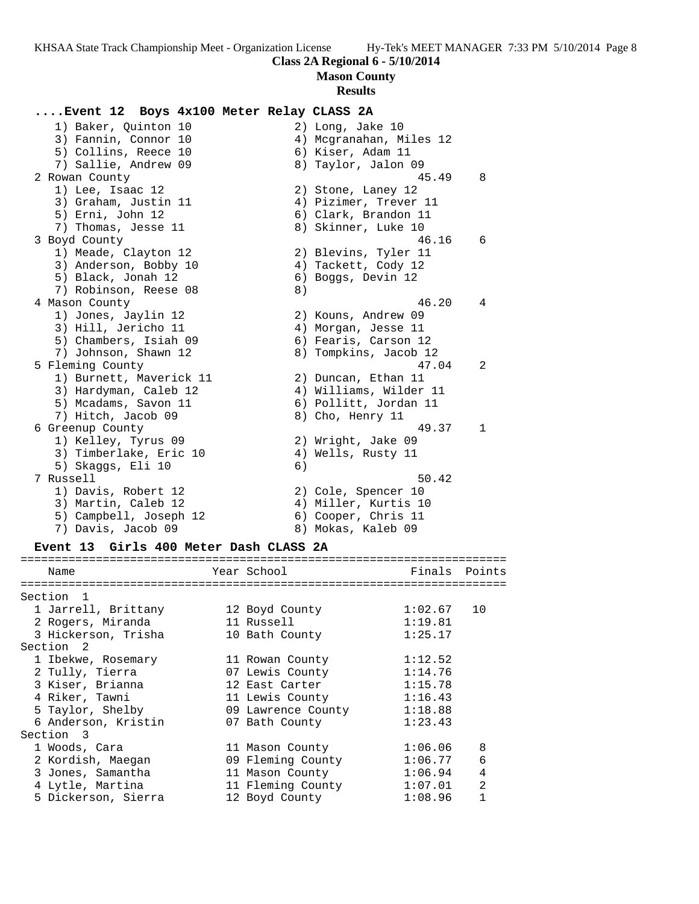**Mason County**

#### **Results**

## **....Event 12 Boys 4x100 Meter Relay CLASS 2A**

1) Baker, Quinton 10 2) Long, Jake 10 3) Fannin, Connor 10 4) Mcgranahan, Miles 12 5) Collins, Reece 10 (6) Kiser, Adam 11 7) Sallie, Andrew 09 8) Taylor, Jalon 09 2 Rowan County 45.49 8 1) Lee, Isaac 12 2) Stone, Laney 12 3) Graham, Justin 11 4) Pizimer, Trever 11 5) Erni, John 12 (6) Clark, Brandon 11 7) Thomas, Jesse 11 8) Skinner, Luke 10 3 Boyd County 46.16 6 1) Meade, Clayton 12 2) Blevins, Tyler 11 3) Anderson, Bobby 10 (4) Tackett, Cody 12 5) Black, Jonah 12 (6) Boggs, Devin 12 7) Robinson, Reese 08 8) 4 Mason County 46.20 4 1) Jones, Jaylin 12 2) Kouns, Andrew 09 3) Hill, Jericho 11 4) Morgan, Jesse 11 5) Chambers, Isiah 09 6) Fearis, Carson 12 7) Johnson, Shawn 12 8) Tompkins, Jacob 12 5 Fleming County 47.04 2 1) Burnett, Maverick 11 2) Duncan, Ethan 11 3) Hardyman, Caleb 12 4) Williams, Wilder 11 5) Mcadams, Savon 11 6) Pollitt, Jordan 11 7) Hitch, Jacob 09 8) Cho, Henry 11 6 Greenup County 49.37 1 1) Kelley, Tyrus 09 2) Wright, Jake 09 3) Timberlake, Eric 10 (4) Wells, Rusty 11 5) Skaggs, Eli 10 (6) 7 Russell 50.42 1) Davis, Robert 12 2) Cole, Spencer 10 3) Martin, Caleb 12 (4) Miller, Kurtis 10 5) Campbell, Joseph 12 (6) Cooper, Chris 11 7) Davis, Jacob 09 8) Mokas, Kaleb 09

#### **Event 13 Girls 400 Meter Dash CLASS 2A**

| Name                                | Year School        | Finals  | Points         |
|-------------------------------------|--------------------|---------|----------------|
|                                     |                    |         |                |
| Section<br>$\overline{\phantom{0}}$ |                    |         |                |
| 1 Jarrell, Brittany                 | 12 Boyd County     | 1:02.67 | 10             |
| 2 Rogers, Miranda                   | 11 Russell         | 1:19.81 |                |
| 3 Hickerson, Trisha                 | 10 Bath County     | 1:25.17 |                |
| Section <sub>2</sub>                |                    |         |                |
| 1 Ibekwe, Rosemary                  | 11 Rowan County    | 1:12.52 |                |
| 2 Tully, Tierra                     | 07 Lewis County    | 1:14.76 |                |
| 3 Kiser, Brianna                    | 12 East Carter     | 1:15.78 |                |
| 4 Riker, Tawni                      | 11 Lewis County    | 1:16.43 |                |
| 5 Taylor, Shelby                    | 09 Lawrence County | 1:18.88 |                |
| 6 Anderson, Kristin                 | 07 Bath County     | 1:23.43 |                |
| Section 3                           |                    |         |                |
| 1 Woods, Cara                       | 11 Mason County    | 1:06.06 | 8              |
| 2 Kordish, Maegan                   | 09 Fleming County  | 1:06.77 | 6              |
| 3 Jones, Samantha                   | 11 Mason County    | 1:06.94 | 4              |
| 4 Lytle, Martina                    | 11 Fleming County  | 1:07.01 | $\mathfrak{D}$ |
| 5 Dickerson, Sierra                 | 12 Boyd County     | 1:08.96 |                |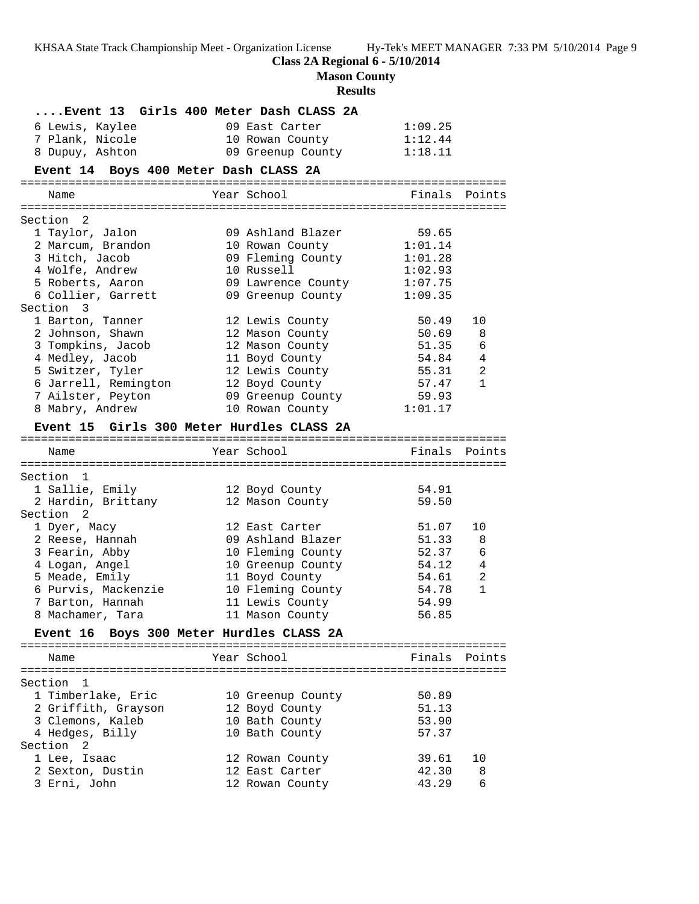**Class 2A Regional 6 - 5/10/2014**

**Mason County**

# **Results**

| Event 13 Girls 400 Meter Dash CLASS 2A     |                                    |                |              |
|--------------------------------------------|------------------------------------|----------------|--------------|
| 6 Lewis, Kaylee                            | 09 East Carter                     | 1:09.25        |              |
| 7 Plank, Nicole                            | 10 Rowan County                    | 1:12.44        |              |
| 8 Dupuy, Ashton                            | 09 Greenup County                  | 1:18.11        |              |
| Event 14 Boys 400 Meter Dash CLASS 2A      |                                    |                |              |
| Name                                       | Year School                        | Finals Points  |              |
|                                            |                                    |                |              |
| Section 2                                  |                                    |                |              |
| 1 Taylor, Jalon                            | 09 Ashland Blazer                  | 59.65          |              |
| 2 Marcum, Brandon                          | 10 Rowan County                    | 1:01.14        |              |
| 3 Hitch, Jacob                             | 09 Fleming County                  | 1:01.28        |              |
| 4 Wolfe, Andrew                            | 10 Russell                         | 1:02.93        |              |
| 5 Roberts, Aaron                           | 09 Lawrence County                 | 1:07.75        |              |
| 6 Collier, Garrett                         | 09 Greenup County                  | 1:09.35        |              |
| Section 3<br>1 Barton, Tanner              |                                    | 50.49          | 10           |
| 2 Johnson, Shawn                           | 12 Lewis County<br>12 Mason County | 50.69          | 8            |
| 3 Tompkins, Jacob                          | 12 Mason County                    | 51.35          | 6            |
| 4 Medley, Jacob                            | 11 Boyd County                     | 54.84          | 4            |
| 5 Switzer, Tyler                           | 12 Lewis County                    | 55.31          | 2            |
| 6 Jarrell, Remington                       | 12 Boyd County                     | 57.47          | $\mathbf{1}$ |
| 7 Ailster, Peyton                          | 09 Greenup County                  | 59.93          |              |
| 8 Mabry, Andrew                            | 10 Rowan County                    | 1:01.17        |              |
|                                            |                                    |                |              |
| Event 15 Girls 300 Meter Hurdles CLASS 2A  |                                    |                |              |
| Name                                       | Year School                        | Finals Points  |              |
|                                            |                                    |                |              |
| Section<br>$\mathbf{1}$                    |                                    |                |              |
| 1 Sallie, Emily                            | 12 Boyd County                     | 54.91<br>59.50 |              |
| 2 Hardin, Brittany<br>Section <sub>2</sub> | 12 Mason County                    |                |              |
| 1 Dyer, Macy                               | 12 East Carter                     | 51.07          | 10           |
| 2 Reese, Hannah                            | 09 Ashland Blazer                  | 51.33          | 8            |
| 3 Fearin, Abby                             | 10 Fleming County                  | 52.37          | 6            |
| 4 Logan, Angel                             | 10 Greenup County                  | 54.12          | 4            |
| 5 Meade, Emily                             | 11 Boyd County                     | 54.61          | 2            |
| 6 Purvis, Mackenzie                        | 10 Fleming County                  | 54.78          | $\mathbf{1}$ |
| 7 Barton, Hannah                           | 11 Lewis County                    | 54.99          |              |
| 8 Machamer, Tara                           | 11 Mason County                    | 56.85          |              |
| Event 16 Boys 300 Meter Hurdles CLASS 2A   |                                    |                |              |
|                                            |                                    |                |              |
| Name                                       | Year School                        | Finals Points  |              |
|                                            |                                    |                |              |
| Section 1                                  |                                    |                |              |
| 1 Timberlake, Eric                         | 10 Greenup County                  | 50.89<br>51.13 |              |
| 2 Griffith, Grayson<br>3 Clemons, Kaleb    | 12 Boyd County                     | 53.90          |              |
| 4 Hedges, Billy                            | 10 Bath County<br>10 Bath County   | 57.37          |              |
| Section <sub>2</sub>                       |                                    |                |              |
| 1 Lee, Isaac                               | 12 Rowan County                    | 39.61          | 10           |
| 2 Sexton, Dustin                           | 12 East Carter                     | 42.30          | 8            |
| 3 Erni, John                               | 12 Rowan County                    | 43.29          | 6            |
|                                            |                                    |                |              |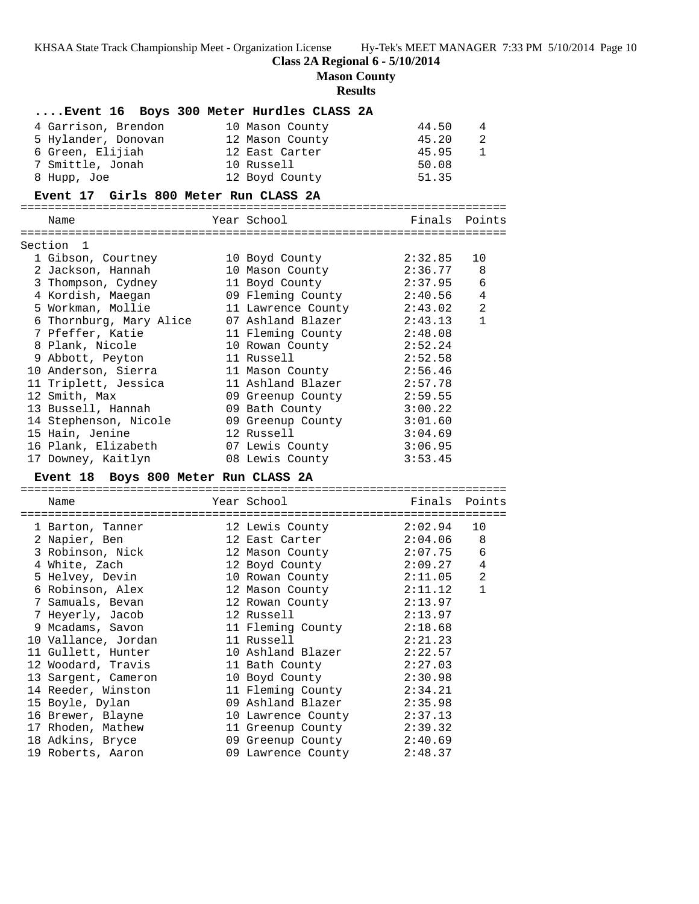**Class 2A Regional 6 - 5/10/2014**

**Mason County**

# **Results**

| Event 16 Boys 300 Meter Hurdles CLASS 2A<br>4 Garrison, Brendon<br>5 Hylander, Donovan<br>6 Green, Elijiah<br>7 Smittle, Jonah<br>8 Hupp, Joe<br>Event 17 Girls 800 Meter Run CLASS 2A                                                                                                                                                                                                                                               | 10 Mason County<br>12 Mason County<br>12 East Carter<br>10 Russell<br>12 Boyd County                                                                                                                                                                                                                                              | 44.50<br>45.20<br>45.95<br>50.08<br>51.35                                                                                                                                               | 4<br>$\overline{2}$<br>$\mathbf{1}$                               |
|--------------------------------------------------------------------------------------------------------------------------------------------------------------------------------------------------------------------------------------------------------------------------------------------------------------------------------------------------------------------------------------------------------------------------------------|-----------------------------------------------------------------------------------------------------------------------------------------------------------------------------------------------------------------------------------------------------------------------------------------------------------------------------------|-----------------------------------------------------------------------------------------------------------------------------------------------------------------------------------------|-------------------------------------------------------------------|
| Name                                                                                                                                                                                                                                                                                                                                                                                                                                 | Year School                                                                                                                                                                                                                                                                                                                       | Finals                                                                                                                                                                                  | Points                                                            |
| Section<br>1<br>1 Gibson, Courtney<br>2 Jackson, Hannah<br>3 Thompson, Cydney<br>4 Kordish, Maegan<br>5 Workman, Mollie<br>6 Thornburg, Mary Alice<br>7 Pfeffer, Katie<br>8 Plank, Nicole<br>9 Abbott, Peyton<br>10 Anderson, Sierra<br>11 Triplett, Jessica<br>12 Smith, Max<br>13 Bussell, Hannah<br>14 Stephenson, Nicole<br>15 Hain, Jenine<br>16 Plank, Elizabeth<br>17 Downey, Kaitlyn<br>Event 18 Boys 800 Meter Run CLASS 2A | 10 Boyd County<br>10 Mason County<br>11 Boyd County<br>09 Fleming County<br>11 Lawrence County<br>07 Ashland Blazer<br>11 Fleming County<br>10 Rowan County<br>11 Russell<br>11 Mason County<br>11 Ashland Blazer<br>09 Greenup County<br>09 Bath County<br>09 Greenup County<br>12 Russell<br>07 Lewis County<br>08 Lewis County | 2:32.85<br>2:36.77<br>2:37.95<br>2:40.56<br>2:43.02<br>2:43.13<br>2:48.08<br>2:52.24<br>2:52.58<br>2:56.46<br>2:57.78<br>2:59.55<br>3:00.22<br>3:01.60<br>3:04.69<br>3:06.95<br>3:53.45 | 10<br>8<br>6<br>4<br>$\overline{2}$<br>$\mathbf{1}$               |
| Name                                                                                                                                                                                                                                                                                                                                                                                                                                 | Year School                                                                                                                                                                                                                                                                                                                       | Finals                                                                                                                                                                                  | Points                                                            |
| 1 Barton, Tanner<br>2 Napier, Ben<br>3 Robinson, Nick<br>4 White, Zach<br>5 Helvey, Devin<br>6 Robinson, Alex                                                                                                                                                                                                                                                                                                                        | 12 Lewis County<br>12 East Carter<br>12 Mason County<br>12 Boyd County<br>10 Rowan County<br>12 Mason County                                                                                                                                                                                                                      | 2:02.94<br>2:04.06<br>2:07.75<br>2:09.27<br>2:11.05<br>2:11.12                                                                                                                          | 10<br>8<br>$6\phantom{1}6$<br>$\overline{4}$<br>2<br>$\mathbf{1}$ |

| 7 MANTET ' DEII |                                                                                                                                                                                                                                                                                                                                                            | IZ BASL CAILEI | 2 . U T . U U                                                                                                                                                                                                                                                                                                                        |
|-----------------|------------------------------------------------------------------------------------------------------------------------------------------------------------------------------------------------------------------------------------------------------------------------------------------------------------------------------------------------------------|----------------|--------------------------------------------------------------------------------------------------------------------------------------------------------------------------------------------------------------------------------------------------------------------------------------------------------------------------------------|
|                 |                                                                                                                                                                                                                                                                                                                                                            |                | 2:07.75                                                                                                                                                                                                                                                                                                                              |
|                 |                                                                                                                                                                                                                                                                                                                                                            |                | 2:09.27                                                                                                                                                                                                                                                                                                                              |
|                 |                                                                                                                                                                                                                                                                                                                                                            |                | 2:11.05                                                                                                                                                                                                                                                                                                                              |
|                 |                                                                                                                                                                                                                                                                                                                                                            |                | 2:11.12                                                                                                                                                                                                                                                                                                                              |
|                 |                                                                                                                                                                                                                                                                                                                                                            |                | 2:13.97                                                                                                                                                                                                                                                                                                                              |
|                 |                                                                                                                                                                                                                                                                                                                                                            |                | 2:13.97                                                                                                                                                                                                                                                                                                                              |
|                 |                                                                                                                                                                                                                                                                                                                                                            |                | 2:18.68                                                                                                                                                                                                                                                                                                                              |
|                 |                                                                                                                                                                                                                                                                                                                                                            |                | 2:21.23                                                                                                                                                                                                                                                                                                                              |
|                 |                                                                                                                                                                                                                                                                                                                                                            |                | 2:22.57                                                                                                                                                                                                                                                                                                                              |
|                 |                                                                                                                                                                                                                                                                                                                                                            |                | 2:27.03                                                                                                                                                                                                                                                                                                                              |
|                 |                                                                                                                                                                                                                                                                                                                                                            |                | 2:30.98                                                                                                                                                                                                                                                                                                                              |
|                 |                                                                                                                                                                                                                                                                                                                                                            |                | 2:34.21                                                                                                                                                                                                                                                                                                                              |
|                 |                                                                                                                                                                                                                                                                                                                                                            |                | 2:35.98                                                                                                                                                                                                                                                                                                                              |
|                 |                                                                                                                                                                                                                                                                                                                                                            |                | 2:37.13                                                                                                                                                                                                                                                                                                                              |
|                 |                                                                                                                                                                                                                                                                                                                                                            |                | 2:39.32                                                                                                                                                                                                                                                                                                                              |
|                 |                                                                                                                                                                                                                                                                                                                                                            |                | 2:40.69                                                                                                                                                                                                                                                                                                                              |
|                 |                                                                                                                                                                                                                                                                                                                                                            |                | 2:48.37                                                                                                                                                                                                                                                                                                                              |
|                 | 3 Robinson, Nick<br>4 White, Zach<br>5 Helvey, Devin<br>6 Robinson, Alex<br>7 Samuals, Bevan<br>7 Heyerly, Jacob<br>9 Mcadams, Savon<br>10 Vallance, Jordan<br>11 Gullett, Hunter<br>12 Woodard, Travis<br>13 Sargent, Cameron<br>14 Reeder, Winston<br>15 Boyle, Dylan<br>16 Brewer, Blayne<br>17 Rhoden, Mathew<br>18 Adkins, Bryce<br>19 Roberts, Aaron |                | 12 Mason County<br>12 Boyd County<br>10 Rowan County<br>12 Mason County<br>12 Rowan County<br>12 Russell<br>11 Fleming County<br>11 Russell<br>10 Ashland Blazer<br>11 Bath County<br>10 Boyd County<br>11 Fleming County<br>09 Ashland Blazer<br>10 Lawrence County<br>11 Greenup County<br>09 Greenup County<br>09 Lawrence County |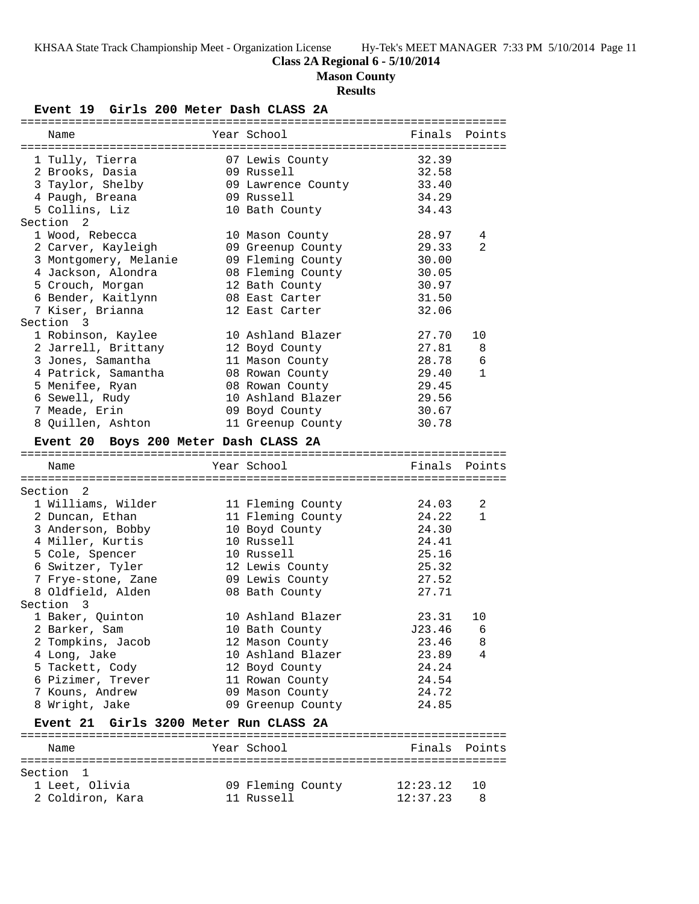# **Class 2A Regional 6 - 5/10/2014**

**Mason County**

# **Results**

**Event 19 Girls 200 Meter Dash CLASS 2A**

| Name                                   | Year School        | Finals   | Points       |
|----------------------------------------|--------------------|----------|--------------|
|                                        |                    |          |              |
| 1 Tully, Tierra                        | 07 Lewis County    | 32.39    |              |
| 2 Brooks, Dasia                        | 09 Russell         | 32.58    |              |
| 3 Taylor, Shelby                       | 09 Lawrence County | 33.40    |              |
| 4 Paugh, Breana                        | 09 Russell         | 34.29    |              |
| 5 Collins, Liz                         | 10 Bath County     | 34.43    |              |
| Section 2                              |                    |          |              |
| 1 Wood, Rebecca                        | 10 Mason County    | 28.97    | 4            |
| 2 Carver, Kayleigh                     | 09 Greenup County  | 29.33    | 2            |
| 3 Montgomery, Melanie                  | 09 Fleming County  | 30.00    |              |
| 4 Jackson, Alondra                     | 08 Fleming County  | 30.05    |              |
| 5 Crouch, Morgan                       | 12 Bath County     | 30.97    |              |
| 6 Bender, Kaitlynn                     | 08 East Carter     | 31.50    |              |
| 7 Kiser, Brianna                       | 12 East Carter     | 32.06    |              |
| Section 3                              |                    |          |              |
| 1 Robinson, Kaylee                     | 10 Ashland Blazer  | 27.70    | 10           |
| 2 Jarrell, Brittany                    | 12 Boyd County     | 27.81    | 8            |
| 3 Jones, Samantha                      | 11 Mason County    | 28.78    | 6            |
| 4 Patrick, Samantha                    | 08 Rowan County    | 29.40    | $\mathbf{1}$ |
| 5 Menifee, Ryan                        | 08 Rowan County    | 29.45    |              |
| 6 Sewell, Rudy                         | 10 Ashland Blazer  | 29.56    |              |
| 7 Meade, Erin                          | 09 Boyd County     | 30.67    |              |
| 8 Quillen, Ashton                      | 11 Greenup County  | 30.78    |              |
| Event 20 Boys 200 Meter Dash CLASS 2A  |                    |          |              |
|                                        |                    |          |              |
|                                        |                    |          |              |
| Name                                   | Year School        | Finals   | Points       |
|                                        |                    |          |              |
| Section 2                              |                    |          |              |
| 1 Williams, Wilder                     | 11 Fleming County  | 24.03    | 2            |
| 2 Duncan, Ethan                        | 11 Fleming County  | 24.22    | $\mathbf{1}$ |
| 3 Anderson, Bobby                      | 10 Boyd County     | 24.30    |              |
| 4 Miller, Kurtis                       | 10 Russell         | 24.41    |              |
| 5 Cole, Spencer                        | 10 Russell         | 25.16    |              |
| 6 Switzer, Tyler                       | 12 Lewis County    | 25.32    |              |
| 7 Frye-stone, Zane                     | 09 Lewis County    | 27.52    |              |
| 8 Oldfield, Alden                      | 08 Bath County     | 27.71    |              |
| Section 3                              |                    |          |              |
| 1 Baker, Quinton                       | 10 Ashland Blazer  | 23.31    | 10           |
| 2 Barker, Sam                          | 10 Bath County     | J23.46   | 6            |
| 2 Tompkins, Jacob                      | 12 Mason County    | 23.46    | 8            |
| 4 Long, Jake                           | 10 Ashland Blazer  | 23.89    | 4            |
| 5 Tackett, Cody                        | 12 Boyd County     | 24.24    |              |
| 6 Pizimer, Trever                      | 11 Rowan County    | 24.54    |              |
| 7 Kouns, Andrew                        | 09 Mason County    | 24.72    |              |
| 8 Wright, Jake                         | 09 Greenup County  | 24.85    |              |
|                                        |                    |          |              |
| Event 21 Girls 3200 Meter Run CLASS 2A |                    |          |              |
| Name                                   | Year School        | Finals   | Points       |
|                                        |                    |          |              |
| Section 1                              |                    |          |              |
| 1 Leet, Olivia                         | 09 Fleming County  | 12:23.12 | 10           |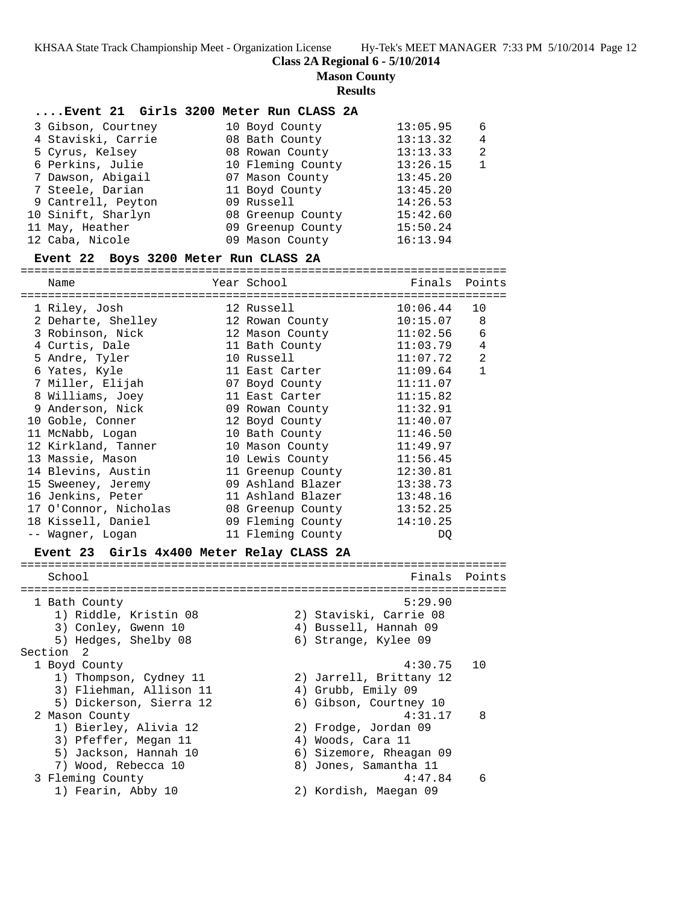**Class 2A Regional 6 - 5/10/2014**

**Mason County**

#### **Results**

#### **....Event 21 Girls 3200 Meter Run CLASS 2A**

| 3 Gibson, Courtney | 10 Boyd County    | 13:05.95 | 6 |
|--------------------|-------------------|----------|---|
| 4 Staviski, Carrie | 08 Bath County    | 13:13.32 | 4 |
| 5 Cyrus, Kelsey    | 08 Rowan County   | 13:13.33 | 2 |
| 6 Perkins, Julie   | 10 Fleming County | 13:26.15 |   |
| 7 Dawson, Abigail  | 07 Mason County   | 13:45.20 |   |
| 7 Steele, Darian   | 11 Boyd County    | 13:45.20 |   |
| 9 Cantrell, Peyton | 09 Russell        | 14:26.53 |   |
| 10 Sinift, Sharlyn | 08 Greenup County | 15:42.60 |   |
| 11 May, Heather    | 09 Greenup County | 15:50.24 |   |
| 12 Caba, Nicole    | 09 Mason County   | 16:13.94 |   |

#### **Event 22 Boys 3200 Meter Run CLASS 2A**

=======================================================================

| Name                                     | Year School                                                                                                    | Finals Points |                |
|------------------------------------------|----------------------------------------------------------------------------------------------------------------|---------------|----------------|
| 1 Riley, Josh                            | 12 Russell and the state of the season of the season of the season of the season of the season of the season o | $10:06.44$ 10 |                |
| 2 Deharte, Shelley                       | 12 Rowan County                                                                                                | $10:15.07$ 8  |                |
| 3 Robinson, Nick                         | 12 Mason County                                                                                                | 11:02.56      | 6              |
| 4 Curtis, Dale                           | 11 Bath County                                                                                                 | 11:03.79      | $\overline{4}$ |
| 5 Andre, Tyler                           | 10 Russell North States                                                                                        | 11:07.72      | $\overline{2}$ |
| 6 Yates, Kyle                            | 11 East Carter                                                                                                 | 11:09.64      | $\mathbf{1}$   |
| 7 Miller, Elijah                         | 07 Boyd County                                                                                                 | 11:11.07      |                |
| 8 Williams, Joey                         | 11 East Carter                                                                                                 | 11:15.82      |                |
| 9 Anderson, Nick                         | 09 Rowan County                                                                                                | 11:32.91      |                |
| 10 Goble, Conner 12 Boyd County 11:40.07 |                                                                                                                |               |                |
| 11 McNabb, Logan 10 Bath County          |                                                                                                                | 11:46.50      |                |
| 12 Kirkland, Tanner                      | 10 Mason County 11:49.97                                                                                       |               |                |
| 13 Massie, Mason                         | 10 Lewis County 11:56.45                                                                                       |               |                |
| 14 Blevins, Austin                       | 11 Greenup County                                                                                              | 12:30.81      |                |
| 15 Sweeney, Jeremy                       | 09 Ashland Blazer                                                                                              | 13:38.73      |                |
| 16 Jenkins, Peter                        | 11 Ashland Blazer                                                                                              | 13:48.16      |                |
|                                          |                                                                                                                | 13:52.25      |                |
| 18 Kissell, Daniel                       | 09 Fleming County                                                                                              | 14:10.25      |                |
| -- Waqner, Loqan                         | 11 Fleming County                                                                                              | DO            |                |

#### **Event 23 Girls 4x400 Meter Relay CLASS 2A**

======================================================================= School **Finals** Points ======================================================================= 1 Bath County 5:29.90 1) Riddle, Kristin 08 2) Staviski, Carrie 08 3) Conley, Gwenn 10 4) Bussell, Hannah 09 5) Hedges, Shelby 08 6) Strange, Kylee 09 Section 2<br>1 Boyd County 1 Boyd County 4:30.75 10 1) Thompson, Cydney 11 2) Jarrell, Brittany 12 3) Fliehman, Allison 11 (4) Grubb, Emily 09 5) Dickerson, Sierra 12 6) Gibson, Courtney 10 2 Mason County 4:31.17 8 1) Bierley, Alivia 12 2) Frodge, Jordan 09 3) Pfeffer, Megan 11 (4) Woods, Cara 11 5) Jackson, Hannah 10 6) Sizemore, Rheagan 09 7) Wood, Rebecca 10 8) Jones, Samantha 11 3 Fleming County 4:47.84 6 1) Fearin, Abby 10 2) Kordish, Maegan 09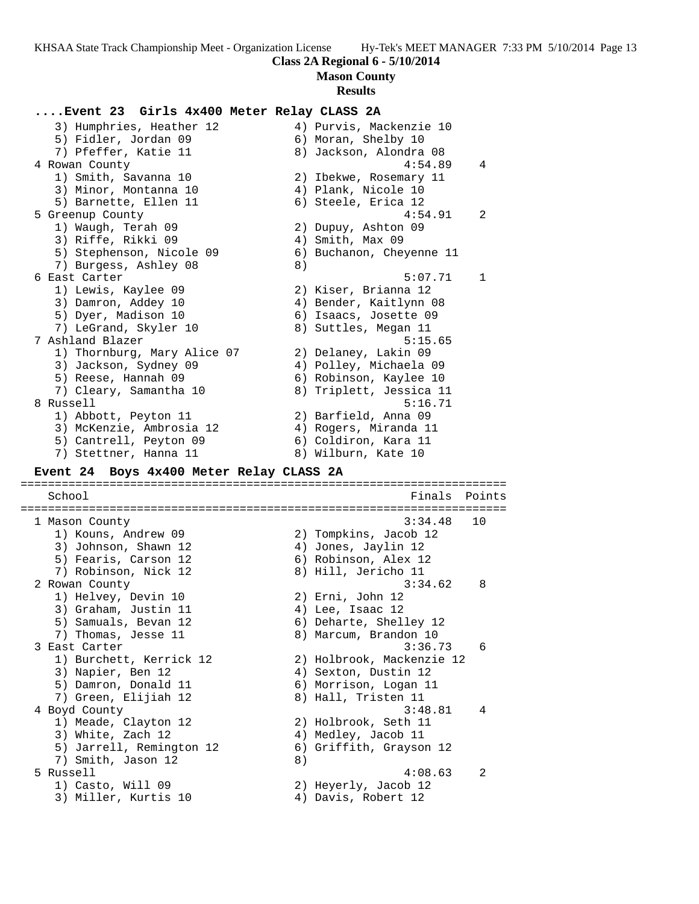**Mason County**

#### **Results**

## **....Event 23 Girls 4x400 Meter Relay CLASS 2A**

 3) Humphries, Heather 12 4) Purvis, Mackenzie 10 5) Fidler, Jordan 09 6) Moran, Shelby 10 7) Pfeffer, Katie 11 8) Jackson, Alondra 08 4 Rowan County 4:54.89 4 1) Smith, Savanna 10 2) Ibekwe, Rosemary 11 3) Minor, Montanna 10  $\qquad \qquad$  4) Plank, Nicole 10 5) Barnette, Ellen 11 (6) Steele, Erica 12 5 Greenup County 4:54.91 2 1) Waugh, Terah 09 2) Dupuy, Ashton 09 3) Riffe, Rikki 09 (4) Smith, Max 09 5) Stephenson, Nicole 09 6) Buchanon, Cheyenne 11 7) Burgess, Ashley 08 8) 6 East Carter 5:07.71 1 1) Lewis, Kaylee 09 2) Kiser, Brianna 12 3) Damron, Addey 10 4) Bender, Kaitlynn 08 5) Dyer, Madison 10 6) Isaacs, Josette 09 7) LeGrand, Skyler 10 (8) Suttles, Megan 11 7 Ashland Blazer 5:15.65 1) Thornburg, Mary Alice 07 2) Delaney, Lakin 09 3) Jackson, Sydney 09 4) Polley, Michaela 09 5) Reese, Hannah 09 6) Robinson, Kaylee 10 7) Cleary, Samantha 10 8) Triplett, Jessica 11 8 Russell 5:16.71 1) Abbott, Peyton 11 2) Barfield, Anna 09 3) McKenzie, Ambrosia 12 4) Rogers, Miranda 11 5) Cantrell, Peyton 09 6) Coldiron, Kara 11 7) Stettner, Hanna 11 anni 8) Wilburn, Kate 10

#### **Event 24 Boys 4x400 Meter Relay CLASS 2A**

======================================================================= School **Finals Points** ======================================================================= 1 Mason County 3:34.48 10 1) Kouns, Andrew 09 2) Tompkins, Jacob 12 3) Johnson, Shawn 12 4) Jones, Jaylin 12 5) Fearis, Carson 12 (6) Robinson, Alex 12 7) Robinson, Nick 12 8) Hill, Jericho 11 2 Rowan County 3:34.62 8 1) Helvey, Devin 10 2) Erni, John 12 3) Graham, Justin 11 (4) Lee, Isaac 12 5) Samuals, Bevan 12 6) Deharte, Shelley 12 7) Thomas, Jesse 11 8) Marcum, Brandon 10 3 East Carter 3:36.73 6 1) Burchett, Kerrick 12 2) Holbrook, Mackenzie 12 3) Napier, Ben 12 (4) Sexton, Dustin 12 5) Damron, Donald 11 6) Morrison, Logan 11 7) Green, Elijiah 12 8) Hall, Tristen 11 4 Boyd County 3:48.81 4 1) Meade, Clayton 12 2) Holbrook, Seth 11 3) White, Zach 12 4) Medley, Jacob 11 5) Jarrell, Remington 12 6) Griffith, Grayson 12 7) Smith, Jason 12 8) 5 Russell 4:08.63 2 1) Casto, Will 09 2) Heyerly, Jacob 12 3) Miller, Kurtis 10 (4) Davis, Robert 12